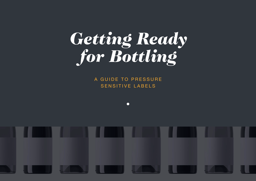# *Getting Ready for Bottling*

A GUIDE TO PRESSURE SENSITIVE LABELS

 $\bullet$ 

**1**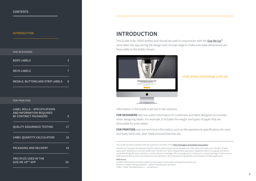#### <span id="page-1-0"></span>INTRODUCTION

# [BODY LABELS](#page-2-0) 3 [NECK LABELS](#page-6-0) 7 [MEDALS, BUTTONS AND STRIP LABELS 8](#page-7-0) [FOR DESIGNERS](#page-2-0) [FOR PRINTERS](#page-8-0)

| LABEL ROLLS – SPECIFICATIONS<br>AND INFORMATION REQUIRED<br>BY CONTRACT PACKAGERS | 9  |
|-----------------------------------------------------------------------------------|----|
| <b>OUALITY ASSURANCE TESTING</b>                                                  | 17 |
| <b>LABEL QUANTITY CALCULATION</b>                                                 | 18 |
| PACKAGING AND DELIVERY                                                            | 19 |
| PRICIPLES USED IN THE<br>SIZE ME UP™ APP                                          | 20 |

### **INTRODUCTION**

This Guide is for 750ml bottles and should be used in conjunction with the **[S](http://sizemeup.com.au/)ize Me Up**<sup>TM</sup> wine label size app during the design and concept stage to make sure label dimensions are favourable to the bottle chosen.



#### visit [www.sizemeup](http://www.sizemeup.com.au).com.au

Information in the Guide is set out in two sections.

**FOR DESIGNERS** sets out useful information for customers and label designers to consider when designing labels. For example, it includes the weight and types of paper that are favourable for wine labels.

**FOR PRINTERS** sets out technical information, such as the operational specifications for neck and body label rolls, their Feed/Unwind Direction etc.

This Guide has been prepared with the input from members of the [Wine Packagers of Australia Association](http://wpa.org.au/).

Size Me Up<sup>TM</sup> has been developed using the industry label sizing chart developed over many years and used as an indicator of label application reliability on common bottle sizes. Size Me Up™ does not guarantee application capability; rather it is a guide and tool to assist with design decisions, based on current industry knowledge. We encourage you to contact your contract packager to discuss your label requirements as they have experience and expertise in their mechanical capabilities and all aspects of label application.

#### References

AS 4833-2007 Pressure-sensitive labels for stock-paper, stock-plastic and general purpose use AS2313.4.3-2006 Printing properties – determining abrasive resistance FTM21 - FINAT Test Method No 21 – Ink Adhesion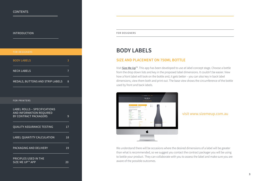#### <span id="page-2-0"></span>**[INTRODUCTION](#page-1-0) FOR DESIGNERS**

| <b>BODY LABELS</b>                                                                       | 3              |  |
|------------------------------------------------------------------------------------------|----------------|--|
| <b>NECK LABELS</b>                                                                       | $\overline{7}$ |  |
| MEDALS, BUTTONS AND STRIP LABELS                                                         | 8              |  |
|                                                                                          |                |  |
| <b>FOR PRINTERS</b>                                                                      |                |  |
| <b>LABEL ROLLS - SPECIFICATIONS</b><br>AND INFORMATION REQUIRED<br>BY CONTRACT PACKAGERS | 9              |  |
| <b>QUALITY ASSURANCE TESTING</b>                                                         | 17             |  |
| LABEL QUANTITY CALCULATION                                                               | 18             |  |
| PACKAGING AND DELIVERY                                                                   | 19             |  |
| <b>PRICIPLES USED IN THE</b><br>SIZE ME UP™ APP                                          | 20             |  |

### **BODY LABELS**

#### **SIZE AND PLACEMENT ON 750ML BOTTLE**

Visit [Size Me Up](http://www.sizemeup.com.au)<sup>™</sup>. This app has been developed to use at label concept stage. Choose a bottle from the drop down lists and key in the proposed label dimensions. It couldn't be easier. View how a front label will look on the bottle and, it gets better – you can also key in back label dimensions, view them both and print out. The base view shows the circumference of the bottle used by front and back labels.



visit [www.sizemeup](http://www.sizemeup.com.au).com.au

We understand there will be occasions where the desired dimensions of a label will be greater than what is recommended, so we suggest you contact the contract packager you will be using to bottle your product. They can collaborate with you to assess the label and make sure you are aware of the possible outcomes.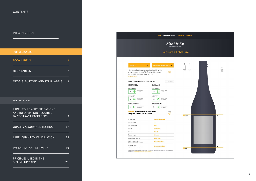#### [INTRODUCTION](#page-1-0)

| <b>FOR DESIGNERS</b> |  |
|----------------------|--|
|                      |  |
|                      |  |

| <b>BODY LABELS</b>                                                                       | 3  |  |
|------------------------------------------------------------------------------------------|----|--|
| <b>NECK LABELS</b>                                                                       | 7  |  |
| MEDALS, BUTTONS AND STRIP LABELS                                                         | 8  |  |
|                                                                                          |    |  |
| <b>FOR PRINTERS</b>                                                                      |    |  |
| <b>LABEL ROLLS - SPECIFICATIONS</b><br>AND INFORMATION REQUIRED<br>BY CONTRACT PACKAGERS | 9  |  |
| <b>QUALITY ASSURANCE TESTING</b>                                                         | 17 |  |
| LABEL QUANTITY CALCULATION                                                               | 18 |  |
| PACKAGING AND DELIVERY                                                                   | 19 |  |
| PRICIPLES USED IN THE<br>SIZE ME UP™ APP                                                 | 20 |  |

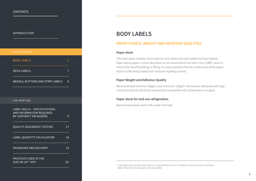#### [INTRODUCTION](#page-1-0)

| <b>FOR DESIGNERS</b>                                                                     |    |  |
|------------------------------------------------------------------------------------------|----|--|
| <b>BODY LABELS</b>                                                                       | 3  |  |
| <b>NECK LABELS</b>                                                                       | 7  |  |
| MEDALS, BUTTONS AND STRIP LABELS                                                         | 8  |  |
|                                                                                          |    |  |
| <b>FOR PRINTERS</b>                                                                      |    |  |
| <b>LABEL ROLLS - SPECIFICATIONS</b><br>AND INFORMATION REQUIRED<br>BY CONTRACT PACKAGERS | 9  |  |
| <b>QUALITY ASSURANCE TESTING</b>                                                         | 17 |  |
| LABEL QUANTITY CALCULATION                                                               | 18 |  |
| PACKAGING AND DELIVERY                                                                   | 19 |  |
| PRICIPLES USED IN THE<br>SIZE ME UP™ APP                                                 | 20 |  |

## **BODY LABELS**

#### **PAPER CHOICE, WEIGHT AND ADHESIVE QUALITIES**

#### **Paper stock**

The main types of paper stock used for wine labels are cast coated and open weave. Open weave paper is more absorbent so we recommend one with a low COBB\* value to reduce the risk of bubbling or lifting. It is also essential that the surface area of the paper stock is sufficiently sealed with moisture repelling varnish.

#### **Paper Weight and Adhesive Quality**

Recommended minimum 80gsm and maximum 135gsm. Permanent adhesives with high initial tack (bond) should be used and be compatible with condensation on glass.

#### **Paper stock for end use refrigeration**

Recommend paper stock with under laminate.

 $*$  calculated mass of water absorbed in a specified time by  $m<sup>2</sup>$  of material under specified conditions. Refer FINAT AUS/NZ standard 1301.411s;2004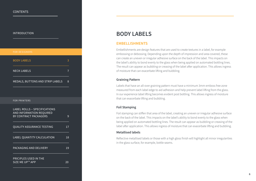#### [INTRODUCTION](#page-1-0)

| <b>FOR DESIGNERS</b>                                                                            |                |  |
|-------------------------------------------------------------------------------------------------|----------------|--|
| <b>BODY LABELS</b>                                                                              | 3              |  |
| <b>NECK LABELS</b>                                                                              | $\overline{7}$ |  |
| MEDALS, BUTTONS AND STRIP LABELS                                                                | 8              |  |
|                                                                                                 |                |  |
| <b>FOR PRINTERS</b>                                                                             |                |  |
| <b>LABEL ROLLS - SPECIFICATIONS</b><br><b>AND INFORMATION REQUIRED</b><br>BY CONTRACT PACKAGERS | 9              |  |
| <b>QUALITY ASSURANCE TESTING</b>                                                                | 17             |  |
| LABEL QUANTITY CALCULATION                                                                      | 18             |  |
| PACKAGING AND DELIVERY                                                                          | 19             |  |
| PRICIPLES USED IN THE<br>SIZE ME UP™ APP                                                        | 20             |  |

### **BODY LABELS**

#### **EMBELLISHMENTS**

Embellishments are design features that are used to create textures in a label, for example embossing or debossing. Depending upon the depth of impression and area covered, these can create an uneven or irregular adhesive surface on the back of the label. This impacts on the label's ability to bond evenly to the glass when being applied on automated bottling lines. The result can appear as bubbling or creasing of the label after application. This allows ingress of moisture that can exacerbate lifting and bubbling.

#### **Graining Pattern**

Labels that have an all-over graining pattern must have a minimum 3mm emboss free zone measured from each label edge to aid adhesion and help prevent label lifting from the glass. In our experience label lifting becomes evident post bottling. This allows ingress of moisture that can exacerbate lifting and bubbling.

#### **Foil Stamping**

Foil stamping can stiffen that area of the label, creating an uneven or irregular adhesive surface on the back of the label. This impacts on the label's ability to bond evenly to the glass when being applied on automated bottling lines. The result can appear as bubbling or creasing of the label after application. This allows ingress of moisture that can exacerbate lifting and bubbling.

#### **Metallised labels**

Reflective metallised labels or those with a high gloss finish will highlight all minor irregularities in the glass surface, for example, bottle seams.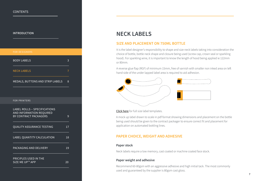#### <span id="page-6-0"></span>[INTRODUCTION](#page-1-0)

| <b>FOR DESIGNERS</b>                                                                     |                |  |
|------------------------------------------------------------------------------------------|----------------|--|
| <b>BODY LABELS</b>                                                                       | 3              |  |
| <b>NECK LABELS</b>                                                                       | 7              |  |
| MEDALS, BUTTONS AND STRIP LABELS                                                         | $\overline{8}$ |  |
|                                                                                          |                |  |
| <b>FOR PRINTERS</b>                                                                      |                |  |
| <b>LABEL ROLLS - SPECIFICATIONS</b><br>AND INFORMATION REQUIRED<br>BY CONTRACT PACKAGERS | 9              |  |
| <b>QUALITY ASSURANCE TESTING</b>                                                         | 17             |  |
| LABEL QUANTITY CALCULATION                                                               | 18             |  |
| PACKAGING AND DELIVERY                                                                   | 19             |  |
| PRICIPLES USED IN THE<br>SIZE ME UP™ APP                                                 | 20             |  |

# **NECK LABELS**

#### **SIZE AND PLACEMENT ON 750ML BOTTLE**

It is the label designer's responsibility to shape and size neck labels taking into consideration the choice of bottle, bottle neck shape and closure being used (screw cap, crown seal or sparkling hood). For sparkling wine, it is important to know the length of hood being applied ie 122mm or 80mm.

A reverse glue flap (RGF) of minimum 15mm, free of varnish with smaller non inked area on left hand side of the under lapped label area is required to aid adhesion.



[Click here](http://sizemeup.com.au/uploads/resources/WPA_Neck_Dielines.pdf) for full size label templates.

A mock up label drawn to scale in pdf format showing dimensions and placement on the bottle being used should be given to the contract packager to ensure correct fit and placement for application on automated bottling lines.

#### **PAPER CHOICE, WEIGHT AND ADHESIVE**

#### **Paper stock**

Neck labels require a low memory, cast coated or machine coated face stock.

#### **Paper weight and adhesive**

Recommend 60-80gsm with an aggressive adhesive and high initial tack. The most commonly used and guaranteed by the supplier is 80gsm cast gloss.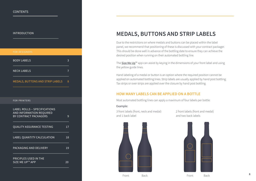#### <span id="page-7-0"></span>[INTRODUCTION](#page-1-0)

# [BODY LABELS](#page-2-0) 3 [NECK LABELS](#page-6-0) 7 MEDALS, BUTTONS AND STRIP LABELS 8 [LABEL ROLLS – SPECIFICATIONS](#page-8-0)  [AND INFORMATION REQUIRED](#page-8-0)  [BY CONTRACT PACKAGERS 9](#page-8-0) [QUALITY ASSURANCE TESTING 17](#page-16-0) [LABEL QUANTITY CALCULATION 18](#page-17-0) [PACKAGING AND DELIVERY 19](#page-18-0) [PRICIPLES USED IN THE](#page-19-0)  SIZE ME UP™ APP 20 [FOR PRINTERS](#page-8-0)

# **MEDALS, BUTTONS AND STRIP LABELS**

Due to the restrictions on where medals and buttons can be placed within the label panel, we recommend that positioning of these is discussed with your contract packager. This should be done well in advance of the bottling date to ensure they can achieve the desired position when running on their automated bottling line.

The  $Size$  Me  $Up^m$  app can assist by keying in the dimensions of your front label and using the yellow guide lines.

Hand labeling of a medal or button is an option where the required position cannot be applied on automated bottling lines. Strip labels are usually applied by hand post bottling. Tax strips or over strips are applied over the closure by hand post bottling.

#### **HOW MANY LABELS CAN BE APPLIED ON A BOTTLE**

Most automated bottling lines can apply a maximum of four labels per bottle:

#### Example:

3 front labels (front, neck and medal) and 1 back label

2 front labels (front and medal) and two back labels





**8**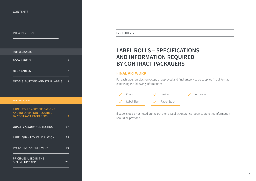# <span id="page-8-0"></span>[INTRODUCTION](#page-1-0) [BODY LABELS](#page-2-0) 3 [NECK LABELS](#page-6-0) 7 [MEDALS, BUTTONS AND STRIP LABELS 8](#page-7-0) LABEL ROLLS – SPECIFICATIONS AND INFORMATION REQUIRED BY CONTRACT PACKAGERS 9 [QUALITY ASSURANCE TESTING 17](#page-16-0) [LABEL QUANTITY CALCULATION 18](#page-17-0) [PACKAGING AND DELIVERY 19](#page-18-0) [PRICIPLES USED IN THE](#page-19-0)  SIZE ME UP™ APP 20 [FOR DESIGNERS](#page-2-0) FOR PRINTERS

FOR PRINTERS

# **LABEL ROLLS – SPECIFICATIONS AND INFORMATION REQUIRED BY CONTRACT PACKAGERS**

### **FINAL ARTWORK**

For each label, an electronic copy of approved and final artwork to be supplied in pdf format containing the following information:

| Colour     |  | Die Gap     |  | Adhesive |
|------------|--|-------------|--|----------|
| Label Size |  | Paper Stock |  |          |

If paper stock is not noted on the pdf then a Quality Assurance report to state this information should be provided.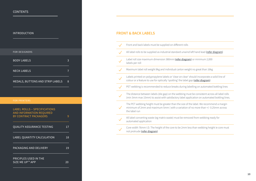| <b>FOR DESIGNERS</b>                                                                                   |    |  |
|--------------------------------------------------------------------------------------------------------|----|--|
| <b>BODY LABELS</b>                                                                                     | 3  |  |
| <b>NECK LABELS</b>                                                                                     | 7  |  |
| MEDALS, BUTTONS AND STRIP LABELS                                                                       | 8  |  |
|                                                                                                        |    |  |
| <b>FOR PRINTERS</b>                                                                                    |    |  |
| <b>LABEL ROLLS - SPECIFICATIONS</b><br><b>AND INFORMATION REQUIRED</b><br><b>BY CONTRACT PACKAGERS</b> | 9  |  |
| <b>QUALITY ASSURANCE TESTING</b>                                                                       | 17 |  |
| LABEL QUANTITY CALCULATION                                                                             | 18 |  |
| PACKAGING AND DELIVERY                                                                                 | 19 |  |
| PRICIPLES USED IN THE<br>SIZE ME UP™ APP                                                               | 20 |  |

#### **[INTRODUCTION](#page-1-0) FRONT & BACK LABELS**

| Front and back labels must be supplied on different rolls                                                                                                                                       |
|-------------------------------------------------------------------------------------------------------------------------------------------------------------------------------------------------|
| All label rolls to be supplied as industrial standard unwind left hand lead (refer diagram)                                                                                                     |
| Label roll size maximum dimension 380mm (refer diagram) or minimum 2,000<br>labels per roll                                                                                                     |
| Maximum label roll weight 8kg and individual carton weight no great than 16kg                                                                                                                   |
| Labels printed on polypropylene labels or 'clear on clear' should incorporate a solid line of<br>colour or a feature to use for optically 'spotting' the label gap (refer diagram)              |
| PET webbing is recommended to reduce breaks during labelling on automated bottling lines                                                                                                        |
| The distance between labels (die gap) on the webbing must be consistent across all label rolls<br>(min 3mm max 15mm) to assist with satisfactory label application on automated bottling lines. |
| The PET webbing height must be greater than the size of the label. We recommend a margin<br>minimum of 2mm and maximum 5mm (with a variation of no more than +/-0.25mm across<br>the label run  |
| All label converting waste (eg matrix waste) must be removed from webbing ready for<br>automated application                                                                                    |
| Core width 76mm I.D. The height of the core to be 2mm less than webbing height ie core must<br>not protrude (refer diagram)                                                                     |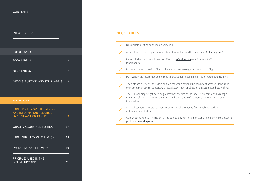| <b></b>                                                                                                |    |  |
|--------------------------------------------------------------------------------------------------------|----|--|
|                                                                                                        |    |  |
| <b>FOR DESIGNERS</b>                                                                                   |    |  |
| <b>BODY LABELS</b>                                                                                     | 3  |  |
| <b>NECK LABELS</b>                                                                                     | 7  |  |
| <b>MEDALS, BUTTONS AND STRIP LABELS</b>                                                                | 8  |  |
|                                                                                                        |    |  |
| <b>FOR PRINTERS</b>                                                                                    |    |  |
| <b>LABEL ROLLS - SPECIFICATIONS</b><br><b>AND INFORMATION REQUIRED</b><br><b>BY CONTRACT PACKAGERS</b> | 9  |  |
| <b>OUALITY ASSURANCE TESTING</b>                                                                       | 17 |  |
| LABEL QUANTITY CALCULATION                                                                             | 18 |  |
| PACKAGING AND DELIVERY                                                                                 | 19 |  |
| PRICIPLES USED IN THE<br>SIZE ME UP™ APP                                                               | 20 |  |

#### [INTRODUCTION](#page-1-0) **NECK LABELS**

| Neck labels must be supplied on same roll                                                                                                                                                       |
|-------------------------------------------------------------------------------------------------------------------------------------------------------------------------------------------------|
| All label rolls to be supplied as industrial standard unwind left hand lead (refer diagram)                                                                                                     |
| Label roll size maximum dimension 300mm (refer diagram) or minimum 2,000<br>labels per roll                                                                                                     |
| Maximum label roll weight 8kg and individual carton weight no great than 16kg                                                                                                                   |
| PET webbing is recommended to reduce breaks during labelling on automated bottling lines                                                                                                        |
| The distance between labels (die gap) on the webbing must be consistent across all label rolls<br>(min 3mm max 15mm) to assist with satisfactory label application on automated bottling lines. |
| The PET webbing height must be greater than the size of the label. We recommend a margin<br>minimum of 2mm and maximum 5mm (with a variation of no more than +/-0.25mm across<br>the label run  |
| All label converting waste (eg matrix waste) must be removed from webbing ready for<br>automated application                                                                                    |
| Core width 76mm I.D. The height of the core to be 2mm less than webbing height ie core must not<br>protrude (refer diagram)                                                                     |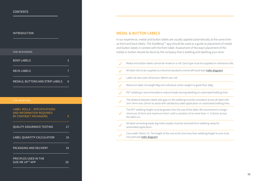[INTRODUCTION](#page-1-0)

| <b>FOR DESIGNERS</b>                                            |                       |                                       |
|-----------------------------------------------------------------|-----------------------|---------------------------------------|
| <b>BODY LABELS</b>                                              | 3                     |                                       |
| <b>NECK LABELS</b>                                              | $\overline{7}$        |                                       |
|                                                                 | 8                     |                                       |
|                                                                 |                       |                                       |
| <b>FOR PRINTERS</b>                                             |                       |                                       |
| <b>LABEL ROLLS - SPECIFICATIONS</b><br>AND INFORMATION REQUIRED |                       |                                       |
|                                                                 |                       |                                       |
| <b>QUALITY ASSURANCE TESTING</b>                                | 17                    |                                       |
| LABEL QUANTITY CALCULATION                                      | 18                    |                                       |
| PACKAGING AND DELIVERY                                          | 19                    |                                       |
|                                                                 |                       |                                       |
|                                                                 | BY CONTRACT PACKAGERS | MEDALS, BUTTONS AND STRIP LABELS<br>9 |

#### **MEDAL & BUTTON LABELS**

In our experience, medal and button labels are usually applied automatically at the same time as front and back labels. The SizeMeUp™ app should be used as a guide to placement of medal and button labels in context with the front label. Assessment of the exact placement of the medal or button should be done by the company that is bottling and labelling your wine.

Medal and button labels cannot be mixed on a roll. Each type must be supplied on individual rolls  $\cdot$  / All label rolls to be supplied as industrial standard unwind left hand lead [\(refer diagram\)](#page-15-0) Label roll size outer dimension 300mm per roll  $\checkmark$ Maximum label roll weight 8kg and individual carton weight no great than 16kg PET webbing is recommended to reduce breaks during labelling on automated bottling lines The distance between labels (die gap) on the webbing must be consistent across all label rolls (min 3mm max 15mm) to assist with satisfactory label application on automated bottling lines. The PET webbing height must be greater than the size of the label. We recommend a margin minimum of 2mm and maximum 5mm ( with a variation of no more than +/- 0.25mm across the label run All label converting waste (eg matrix waste) must be removed from webbing ready for automated application Core width 76mm I.D. The height of the core to be 2mm less than webbing height ie core must not protrude ([refer diagram\)](#page-15-0)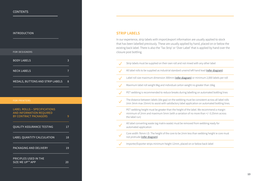[INTRODUCTION](#page-1-0)

| <b>FOR DESIGNERS</b>                                                                     |    |  |
|------------------------------------------------------------------------------------------|----|--|
| <b>BODY LABELS</b>                                                                       | 3  |  |
| <b>NECK LABELS</b>                                                                       | 7  |  |
| MEDALS, BUTTONS AND STRIP LABELS                                                         | 8  |  |
|                                                                                          |    |  |
| <b>FOR PRINTERS</b>                                                                      |    |  |
| <b>LABEL ROLLS - SPECIFICATIONS</b><br>AND INFORMATION REQUIRED<br>BY CONTRACT PACKAGERS | 9  |  |
| <b>QUALITY ASSURANCE TESTING</b>                                                         | 17 |  |
| LABEL QUANTITY CALCULATION                                                               | 18 |  |
| PACKAGING AND DELIVERY                                                                   | 19 |  |
| <b>PRICIPLES USED IN THE</b><br>SIZE ME UP™ APP                                          | 20 |  |

#### **STRIP LABELS**

In our experience, strip labels with import/export information are usually applied to stock that has been labelled previously. These are usually applied by hand, placed on or below the existing back label. There is also the 'Tax Strip' or 'Over Label' that is applied by hand over the closure post bottling.

|              | Strip labels must be supplied on their own roll and not mixed with any other label                                                                                                              |
|--------------|-------------------------------------------------------------------------------------------------------------------------------------------------------------------------------------------------|
| $\checkmark$ | All label rolls to be supplied as industrial standard unwind left hand lead (refer diagram)                                                                                                     |
|              | Label roll size maximum dimension 300mm (refer diagram) or minimum 2,000 labels per roll                                                                                                        |
| $\checkmark$ | Maximum label roll weight 8kg and individual carton weight no greater than 16kg                                                                                                                 |
|              | PET webbing is recommended to reduce breaks during labelling on automated bottling lines                                                                                                        |
|              | The distance between labels (die gap) on the webbing must be consistent across all label rolls<br>(min 3mm max 15mm) to assist with satisfactory label application on automated bottling lines. |
|              | PET webbing height must be greater than the height of the label. We recommend a margin<br>minimum of 2mm and maximum 5mm (with a variation of no more than +/-0.25mm across<br>the label run)   |
|              | All label converting waste (eg matrix waste) must be removed from webbing ready for<br>automated application                                                                                    |
|              | Core width 76mm I.D. The height of the core to be 2mm less than webbing height ie core must<br>not protrude (refer diagram)                                                                     |
|              | Importer/Exporter strips minimum height 12mm, placed on or below back label                                                                                                                     |
|              |                                                                                                                                                                                                 |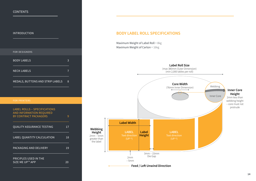<span id="page-13-0"></span>[INTRODUCTION](#page-1-0)

| <b>!!\! !\♡</b> DVU ! IVI\                                                                             |    |  |
|--------------------------------------------------------------------------------------------------------|----|--|
|                                                                                                        |    |  |
| <b>FOR DESIGNERS</b>                                                                                   |    |  |
| <b>BODY LABELS</b>                                                                                     | 3  |  |
| <b>NECK LABELS</b>                                                                                     | 7  |  |
| MEDALS, BUTTONS AND STRIP LABELS                                                                       | 8  |  |
|                                                                                                        |    |  |
| <b>FOR PRINTERS</b>                                                                                    |    |  |
| <b>LABEL ROLLS - SPECIFICATIONS</b><br><b>AND INFORMATION REQUIRED</b><br><b>BY CONTRACT PACKAGERS</b> | 9  |  |
| <b>QUALITY ASSURANCE TESTING</b>                                                                       | 17 |  |
| LABEL QUANTITY CALCULATION                                                                             | 18 |  |
| PACKAGING AND DELIVERY                                                                                 | 19 |  |
| PRICIPLES USED IN THE<br>SIZE ME UP™ APP                                                               | 20 |  |

#### **BODY LABEL ROLL SPECIFICATIONS**

Maximum Weight of Label Roll = 8kg Maximum Weight of Carton = 16kg

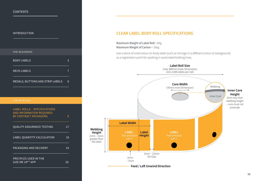[INTRODUCTION](#page-1-0)

| <b>FOR DESIGNERS</b>                                     |    |  |
|----------------------------------------------------------|----|--|
| <b>BODY LABELS</b>                                       | 3  |  |
| <b>NECK LABELS</b>                                       | 7  |  |
| MEDALS, BUTTONS AND STRIP LABELS                         | 8  |  |
|                                                          |    |  |
| <b>FOR PRINTERS</b>                                      |    |  |
| <b>LABEL ROLLS - SPECIFICATIONS</b>                      |    |  |
| AND INFORMATION REQUIRED<br><b>BY CONTRACT PACKAGERS</b> | 9  |  |
| <b>QUALITY ASSURANCE TESTING</b>                         | 17 |  |
| LABEL QUANTITY CALCULATION                               | 18 |  |
| PACKAGING AND DELIVERY                                   | 19 |  |
|                                                          |    |  |

#### **CLEAR LABEL BODY ROLL SPECIFICATIONS**

Maximum Weight of Label Roll = 8kg Maximum Weight of Carton = 16kg

Use a block of solid colour on body label (such as ink logo in a different colour to background) as a registration point for spotting in automated bottling lines.

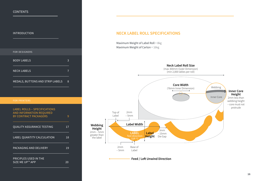<span id="page-15-0"></span>[INTRODUCTION](#page-1-0)

| <b>!!\! !\♡</b> DVU ! IVI\                                                                             |    |  |
|--------------------------------------------------------------------------------------------------------|----|--|
|                                                                                                        |    |  |
| <b>FOR DESIGNERS</b>                                                                                   |    |  |
| <b>BODY LABELS</b>                                                                                     | 3  |  |
| <b>NECK LABELS</b>                                                                                     | 7  |  |
| MEDALS, BUTTONS AND STRIP LABELS                                                                       | 8  |  |
|                                                                                                        |    |  |
| <b>FOR PRINTERS</b>                                                                                    |    |  |
| <b>LABEL ROLLS - SPECIFICATIONS</b><br><b>AND INFORMATION REQUIRED</b><br><b>BY CONTRACT PACKAGERS</b> | 9  |  |
| <b>QUALITY ASSURANCE TESTING</b>                                                                       | 17 |  |
| LABEL QUANTITY CALCULATION                                                                             | 18 |  |
| PACKAGING AND DELIVERY                                                                                 | 19 |  |
| PRICIPLES USED IN THE<br>SIZE ME UP™ APP                                                               | 20 |  |

#### **NECK LABEL ROLL SPECIFICATIONS**

Maximum Weight of Label Roll = 8kg Maximum Weight of Carton = 16kg

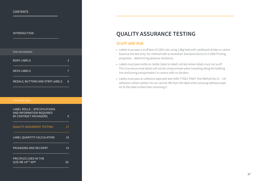#### <span id="page-16-0"></span>[INTRODUCTION](#page-1-0)

# [BODY LABELS](#page-2-0) 3 [NECK LABELS](#page-6-0) 7 [MEDALS, BUTTONS AND STRIP LABELS 8](#page-7-0) [LABEL ROLLS – SPECIFICATIONS](#page-8-0)  [AND INFORMATION REQUIRED](#page-8-0)  [BY CONTRACT PACKAGERS 9](#page-8-0) QUALITY ASSURANCE TESTING 17 [LABEL QUANTITY CALCULATION 18](#page-17-0) [PACKAGING AND DELIVERY 19](#page-18-0) [PRICIPLES USED IN THE](#page-19-0)  SIZE ME UP™ APP 20 [FOR DESIGNERS](#page-2-0)

# **QUALITY ASSURANCE TESTING**

#### **SCUFF AND RUB**

- Labels must pass a scuff test of 2,000 rubs using 1.8kg load with cardboard divider or carton board as the test strip. For method refer to Australian Standard AS2313.4.3-2006 Printing properties – determining abrasive resistance.
- Labels must pass bottle on bottle (label to label) rub test where labels must not scuff. This is to ensure that labels will not be compromised when travelling along the bottling line and during transportation in cartons with no dividers.
- Labels must pass an adhesive tape peel test (refer FTM21-FINAT Test Method No 21 ink adhesion) where neither ink nor varnish lifts from the label when pressing adhesive tape on to the label surface then removing it.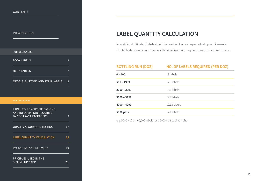<span id="page-17-0"></span>[INTRODUCTION](#page-1-0)

| <b>FOR DESIGNERS</b>                                                                     |    |  |
|------------------------------------------------------------------------------------------|----|--|
| <b>BODY LABELS</b>                                                                       | 3  |  |
| <b>NECK LABELS</b>                                                                       | 7  |  |
| MEDALS, BUTTONS AND STRIP LABELS                                                         | 8  |  |
|                                                                                          |    |  |
| <b>FOR PRINTERS</b>                                                                      |    |  |
| <b>LABEL ROLLS - SPECIFICATIONS</b><br>AND INFORMATION REQUIRED<br>BY CONTRACT PACKAGERS | 9  |  |
| <b>QUALITY ASSURANCE TESTING</b>                                                         | 17 |  |
| LABEL QUANTITY CALCULATION                                                               | 18 |  |
| PACKAGING AND DELIVERY                                                                   | 19 |  |
| PRICIPLES USED IN THE<br>SIZE ME UP™ APP                                                 | 20 |  |

# **LABEL QUANTITY CALCULATION**

An additional 100 sets of labels should be provided to cover expected set up requirements. This table shows minimum number of labels of each kind required based on bottling run size.

| <b>BOTTLING RUN (DOZ)</b> | <b>NO. OF LABELS REQUIRED (PER DOZ)</b> |
|---------------------------|-----------------------------------------|
| $0 - 500$                 | 13 labels                               |
| $501 - 1999$              | 12.5 labels                             |
| $2000 - 2999$             | 12.2 labels                             |
| $3000 - 3999$             | 12.2 labels                             |
| $4000 - 4999$             | 12.13 labels                            |
| 5000 plus                 | 12.1 labels                             |

e.g. 5000 x 12.1 = 60,500 labels for a 5000 x 12 pack run size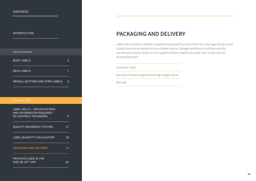#### <span id="page-18-0"></span>[INTRODUCTION](#page-1-0)

| <b>FOR DESIGNERS</b>                                                                            |    |  |
|-------------------------------------------------------------------------------------------------|----|--|
| <b>BODY LABELS</b>                                                                              | 3  |  |
| <b>NECK LABELS</b>                                                                              | 7  |  |
| MEDALS, BUTTONS AND STRIP LABELS                                                                | 8  |  |
|                                                                                                 |    |  |
| <b>FOR PRINTERS</b>                                                                             |    |  |
| <b>LABEL ROLLS - SPECIFICATIONS</b><br><b>AND INFORMATION REQUIRED</b><br>BY CONTRACT PACKAGERS | 9  |  |
| <b>QUALITY ASSURANCE TESTING</b>                                                                | 17 |  |
| LABEL QUANTITY CALCULATION                                                                      | 18 |  |
| PACKAGING AND DELIVERY                                                                          | 19 |  |
| PRICIPLES USED IN THE<br>SIZE ME UP™ APP                                                        | 20 |  |

### **PACKAGING AND DELIVERY**

Label rolls should be carefully wrapped and packed to protect them from damage during transit. Goods must not be stacked on top of label cartons. Storage conditions should be carefully monitored to ensure labels arrive in good condition ready to be used. Each carton should be identified with:

#### Customer name

Quantity of labels supplied showing vintage, brand

Barcode